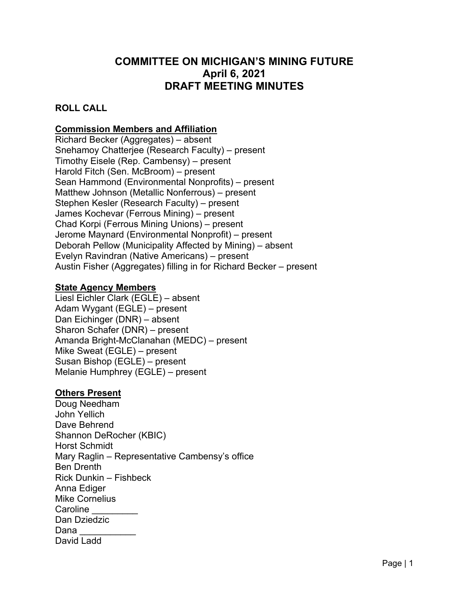# **COMMITTEE ON MICHIGAN'S MINING FUTURE April 6, 2021 DRAFT MEETING MINUTES**

### **ROLL CALL**

# **Commission Members and Affiliation**

Richard Becker (Aggregates) – absent Snehamoy Chatterjee (Research Faculty) – present Timothy Eisele (Rep. Cambensy) – present Harold Fitch (Sen. McBroom) – present Sean Hammond (Environmental Nonprofits) – present Matthew Johnson (Metallic Nonferrous) – present Stephen Kesler (Research Faculty) – present James Kochevar (Ferrous Mining) – present Chad Korpi (Ferrous Mining Unions) – present Jerome Maynard (Environmental Nonprofit) – present Deborah Pellow (Municipality Affected by Mining) – absent Evelyn Ravindran (Native Americans) – present Austin Fisher (Aggregates) filling in for Richard Becker – present

#### **State Agency Members**

Liesl Eichler Clark (EGLE) – absent Adam Wygant (EGLE) – present Dan Eichinger (DNR) – absent Sharon Schafer (DNR) – present Amanda Bright-McClanahan (MEDC) – present Mike Sweat (EGLE) – present Susan Bishop (EGLE) – present Melanie Humphrey (EGLE) – present

#### **Others Present**

Doug Needham John Yellich Dave Behrend Shannon DeRocher (KBIC) Horst Schmidt Mary Raglin – Representative Cambensy's office Ben Drenth Rick Dunkin – Fishbeck Anna Ediger Mike Cornelius Caroline Dan Dziedzic Dana David Ladd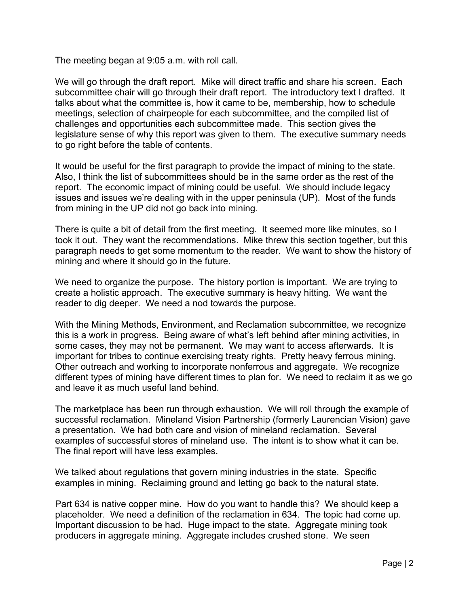The meeting began at 9:05 a.m. with roll call.

We will go through the draft report. Mike will direct traffic and share his screen. Each subcommittee chair will go through their draft report. The introductory text I drafted. It talks about what the committee is, how it came to be, membership, how to schedule meetings, selection of chairpeople for each subcommittee, and the compiled list of challenges and opportunities each subcommittee made. This section gives the legislature sense of why this report was given to them. The executive summary needs to go right before the table of contents.

It would be useful for the first paragraph to provide the impact of mining to the state. Also, I think the list of subcommittees should be in the same order as the rest of the report. The economic impact of mining could be useful. We should include legacy issues and issues we're dealing with in the upper peninsula (UP). Most of the funds from mining in the UP did not go back into mining.

There is quite a bit of detail from the first meeting. It seemed more like minutes, so I took it out. They want the recommendations. Mike threw this section together, but this paragraph needs to get some momentum to the reader. We want to show the history of mining and where it should go in the future.

We need to organize the purpose. The history portion is important. We are trying to create a holistic approach. The executive summary is heavy hitting. We want the reader to dig deeper. We need a nod towards the purpose.

With the Mining Methods, Environment, and Reclamation subcommittee, we recognize this is a work in progress. Being aware of what's left behind after mining activities, in some cases, they may not be permanent. We may want to access afterwards. It is important for tribes to continue exercising treaty rights. Pretty heavy ferrous mining. Other outreach and working to incorporate nonferrous and aggregate. We recognize different types of mining have different times to plan for. We need to reclaim it as we go and leave it as much useful land behind.

The marketplace has been run through exhaustion. We will roll through the example of successful reclamation. Mineland Vision Partnership (formerly Laurencian Vision) gave a presentation. We had both care and vision of mineland reclamation. Several examples of successful stores of mineland use. The intent is to show what it can be. The final report will have less examples.

We talked about regulations that govern mining industries in the state. Specific examples in mining. Reclaiming ground and letting go back to the natural state.

Part 634 is native copper mine. How do you want to handle this? We should keep a placeholder. We need a definition of the reclamation in 634. The topic had come up. Important discussion to be had. Huge impact to the state. Aggregate mining took producers in aggregate mining. Aggregate includes crushed stone. We seen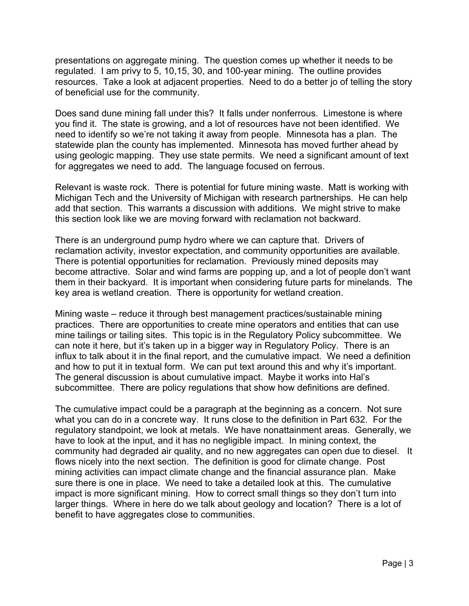presentations on aggregate mining. The question comes up whether it needs to be regulated. I am privy to 5, 10,15, 30, and 100-year mining. The outline provides resources. Take a look at adjacent properties. Need to do a better jo of telling the story of beneficial use for the community.

Does sand dune mining fall under this? It falls under nonferrous. Limestone is where you find it. The state is growing, and a lot of resources have not been identified. We need to identify so we're not taking it away from people. Minnesota has a plan. The statewide plan the county has implemented. Minnesota has moved further ahead by using geologic mapping. They use state permits. We need a significant amount of text for aggregates we need to add. The language focused on ferrous.

Relevant is waste rock. There is potential for future mining waste. Matt is working with Michigan Tech and the University of Michigan with research partnerships. He can help add that section. This warrants a discussion with additions. We might strive to make this section look like we are moving forward with reclamation not backward.

There is an underground pump hydro where we can capture that. Drivers of reclamation activity, investor expectation, and community opportunities are available. There is potential opportunities for reclamation. Previously mined deposits may become attractive. Solar and wind farms are popping up, and a lot of people don't want them in their backyard. It is important when considering future parts for minelands. The key area is wetland creation. There is opportunity for wetland creation.

Mining waste – reduce it through best management practices/sustainable mining practices. There are opportunities to create mine operators and entities that can use mine tailings or tailing sites. This topic is in the Regulatory Policy subcommittee. We can note it here, but it's taken up in a bigger way in Regulatory Policy. There is an influx to talk about it in the final report, and the cumulative impact. We need a definition and how to put it in textual form. We can put text around this and why it's important. The general discussion is about cumulative impact. Maybe it works into Hal's subcommittee. There are policy regulations that show how definitions are defined.

The cumulative impact could be a paragraph at the beginning as a concern. Not sure what you can do in a concrete way. It runs close to the definition in Part 632. For the regulatory standpoint, we look at metals. We have nonattainment areas. Generally, we have to look at the input, and it has no negligible impact. In mining context, the community had degraded air quality, and no new aggregates can open due to diesel. It flows nicely into the next section. The definition is good for climate change. Post mining activities can impact climate change and the financial assurance plan. Make sure there is one in place. We need to take a detailed look at this. The cumulative impact is more significant mining. How to correct small things so they don't turn into larger things. Where in here do we talk about geology and location? There is a lot of benefit to have aggregates close to communities.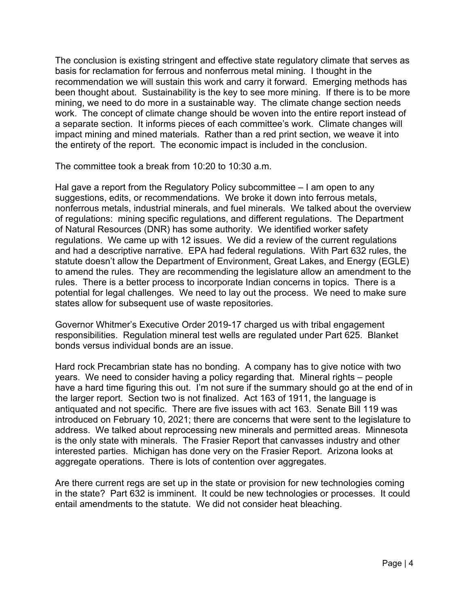The conclusion is existing stringent and effective state regulatory climate that serves as basis for reclamation for ferrous and nonferrous metal mining. I thought in the recommendation we will sustain this work and carry it forward. Emerging methods has been thought about. Sustainability is the key to see more mining. If there is to be more mining, we need to do more in a sustainable way. The climate change section needs work. The concept of climate change should be woven into the entire report instead of a separate section. It informs pieces of each committee's work. Climate changes will impact mining and mined materials. Rather than a red print section, we weave it into the entirety of the report. The economic impact is included in the conclusion.

The committee took a break from 10:20 to 10:30 a.m.

Hal gave a report from the Regulatory Policy subcommittee – I am open to any suggestions, edits, or recommendations. We broke it down into ferrous metals, nonferrous metals, industrial minerals, and fuel minerals. We talked about the overview of regulations: mining specific regulations, and different regulations. The Department of Natural Resources (DNR) has some authority. We identified worker safety regulations. We came up with 12 issues. We did a review of the current regulations and had a descriptive narrative. EPA had federal regulations. With Part 632 rules, the statute doesn't allow the Department of Environment, Great Lakes, and Energy (EGLE) to amend the rules. They are recommending the legislature allow an amendment to the rules. There is a better process to incorporate Indian concerns in topics. There is a potential for legal challenges. We need to lay out the process. We need to make sure states allow for subsequent use of waste repositories.

Governor Whitmer's Executive Order 2019-17 charged us with tribal engagement responsibilities. Regulation mineral test wells are regulated under Part 625. Blanket bonds versus individual bonds are an issue.

Hard rock Precambrian state has no bonding. A company has to give notice with two years. We need to consider having a policy regarding that. Mineral rights – people have a hard time figuring this out. I'm not sure if the summary should go at the end of in the larger report. Section two is not finalized. Act 163 of 1911, the language is antiquated and not specific. There are five issues with act 163. Senate Bill 119 was introduced on February 10, 2021; there are concerns that were sent to the legislature to address. We talked about reprocessing new minerals and permitted areas. Minnesota is the only state with minerals. The Frasier Report that canvasses industry and other interested parties. Michigan has done very on the Frasier Report. Arizona looks at aggregate operations. There is lots of contention over aggregates.

Are there current regs are set up in the state or provision for new technologies coming in the state? Part 632 is imminent. It could be new technologies or processes. It could entail amendments to the statute. We did not consider heat bleaching.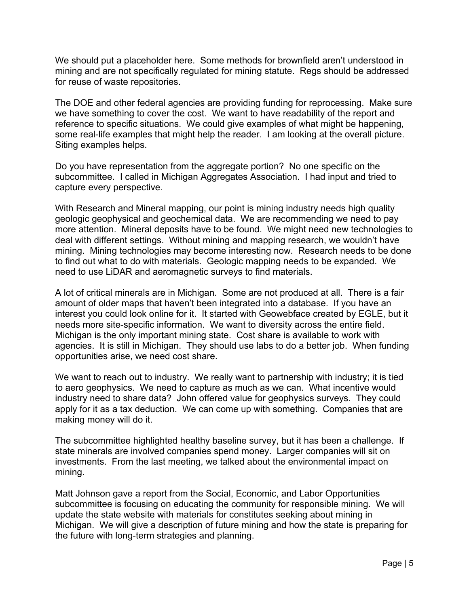We should put a placeholder here. Some methods for brownfield aren't understood in mining and are not specifically regulated for mining statute. Regs should be addressed for reuse of waste repositories.

The DOE and other federal agencies are providing funding for reprocessing. Make sure we have something to cover the cost. We want to have readability of the report and reference to specific situations. We could give examples of what might be happening, some real-life examples that might help the reader. I am looking at the overall picture. Siting examples helps.

Do you have representation from the aggregate portion? No one specific on the subcommittee. I called in Michigan Aggregates Association. I had input and tried to capture every perspective.

With Research and Mineral mapping, our point is mining industry needs high quality geologic geophysical and geochemical data. We are recommending we need to pay more attention. Mineral deposits have to be found. We might need new technologies to deal with different settings. Without mining and mapping research, we wouldn't have mining. Mining technologies may become interesting now. Research needs to be done to find out what to do with materials. Geologic mapping needs to be expanded. We need to use LiDAR and aeromagnetic surveys to find materials.

A lot of critical minerals are in Michigan. Some are not produced at all. There is a fair amount of older maps that haven't been integrated into a database. If you have an interest you could look online for it. It started with Geowebface created by EGLE, but it needs more site-specific information. We want to diversity across the entire field. Michigan is the only important mining state. Cost share is available to work with agencies. It is still in Michigan. They should use labs to do a better job. When funding opportunities arise, we need cost share.

We want to reach out to industry. We really want to partnership with industry; it is tied to aero geophysics. We need to capture as much as we can. What incentive would industry need to share data? John offered value for geophysics surveys. They could apply for it as a tax deduction. We can come up with something. Companies that are making money will do it.

The subcommittee highlighted healthy baseline survey, but it has been a challenge. If state minerals are involved companies spend money. Larger companies will sit on investments. From the last meeting, we talked about the environmental impact on mining.

Matt Johnson gave a report from the Social, Economic, and Labor Opportunities subcommittee is focusing on educating the community for responsible mining. We will update the state website with materials for constitutes seeking about mining in Michigan. We will give a description of future mining and how the state is preparing for the future with long-term strategies and planning.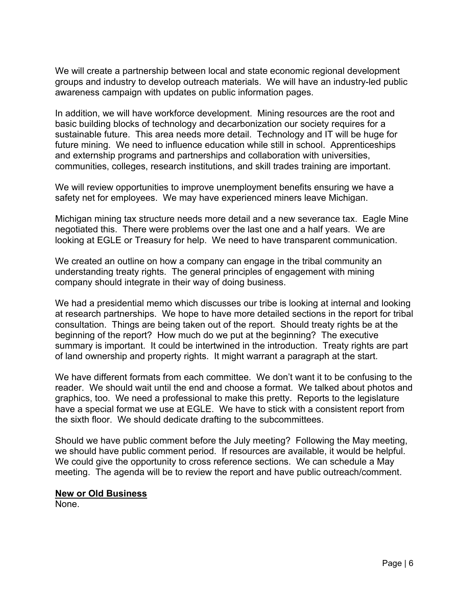We will create a partnership between local and state economic regional development groups and industry to develop outreach materials. We will have an industry-led public awareness campaign with updates on public information pages.

In addition, we will have workforce development. Mining resources are the root and basic building blocks of technology and decarbonization our society requires for a sustainable future. This area needs more detail. Technology and IT will be huge for future mining. We need to influence education while still in school. Apprenticeships and externship programs and partnerships and collaboration with universities, communities, colleges, research institutions, and skill trades training are important.

We will review opportunities to improve unemployment benefits ensuring we have a safety net for employees. We may have experienced miners leave Michigan.

Michigan mining tax structure needs more detail and a new severance tax. Eagle Mine negotiated this. There were problems over the last one and a half years. We are looking at EGLE or Treasury for help. We need to have transparent communication.

We created an outline on how a company can engage in the tribal community an understanding treaty rights. The general principles of engagement with mining company should integrate in their way of doing business.

We had a presidential memo which discusses our tribe is looking at internal and looking at research partnerships. We hope to have more detailed sections in the report for tribal consultation. Things are being taken out of the report. Should treaty rights be at the beginning of the report? How much do we put at the beginning? The executive summary is important. It could be intertwined in the introduction. Treaty rights are part of land ownership and property rights. It might warrant a paragraph at the start.

We have different formats from each committee. We don't want it to be confusing to the reader. We should wait until the end and choose a format. We talked about photos and graphics, too. We need a professional to make this pretty. Reports to the legislature have a special format we use at EGLE. We have to stick with a consistent report from the sixth floor. We should dedicate drafting to the subcommittees.

Should we have public comment before the July meeting? Following the May meeting, we should have public comment period. If resources are available, it would be helpful. We could give the opportunity to cross reference sections. We can schedule a May meeting. The agenda will be to review the report and have public outreach/comment.

#### **New or Old Business**

None.